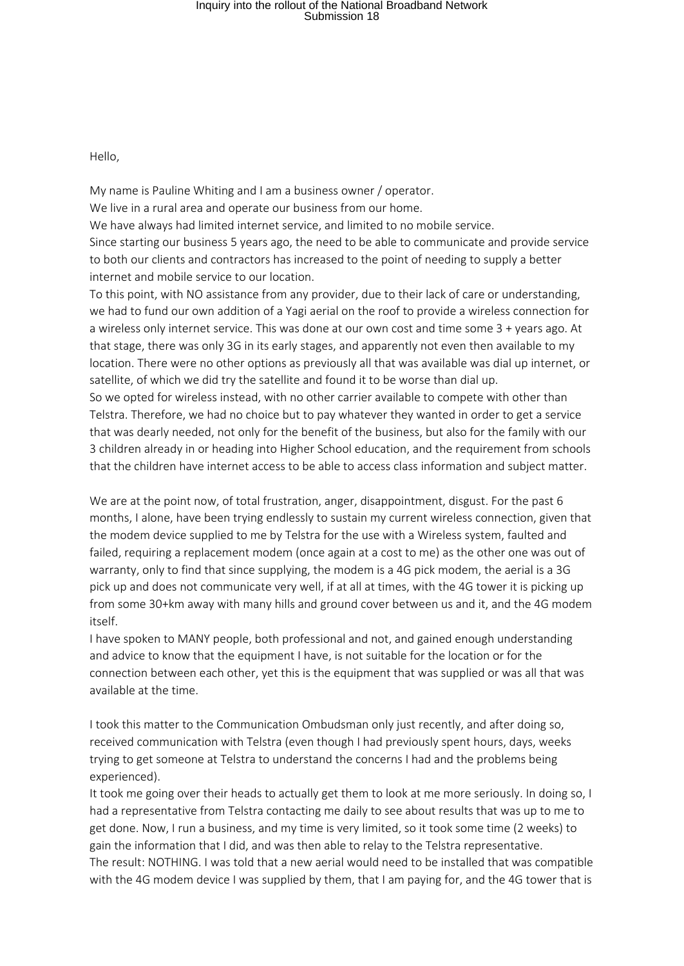## Inquiry into the rollout of the National Broadband Network Submission 18

Hello,

My name is Pauline Whiting and I am a business owner / operator. We live in a rural area and operate our business from our home. We have always had limited internet service, and limited to no mobile service. Since starting our business 5 years ago, the need to be able to communicate and provide service to both our clients and contractors has increased to the point of needing to supply a better internet and mobile service to our location.

To this point, with NO assistance from any provider, due to their lack of care or understanding, we had to fund our own addition of a Yagi aerial on the roof to provide a wireless connection for a wireless only internet service. This was done at our own cost and time some 3 + years ago. At that stage, there was only 3G in its early stages, and apparently not even then available to my location. There were no other options as previously all that was available was dial up internet, or satellite, of which we did try the satellite and found it to be worse than dial up.

So we opted for wireless instead, with no other carrier available to compete with other than Telstra. Therefore, we had no choice but to pay whatever they wanted in order to get a service that was dearly needed, not only for the benefit of the business, but also for the family with our 3 children already in or heading into Higher School education, and the requirement from schools that the children have internet access to be able to access class information and subject matter.

We are at the point now, of total frustration, anger, disappointment, disgust. For the past 6 months, I alone, have been trying endlessly to sustain my current wireless connection, given that the modem device supplied to me by Telstra for the use with a Wireless system, faulted and failed, requiring a replacement modem (once again at a cost to me) as the other one was out of warranty, only to find that since supplying, the modem is a 4G pick modem, the aerial is a 3G pick up and does not communicate very well, if at all at times, with the 4G tower it is picking up from some 30+km away with many hills and ground cover between us and it, and the 4G modem itself.

I have spoken to MANY people, both professional and not, and gained enough understanding and advice to know that the equipment I have, is not suitable for the location or for the connection between each other, yet this is the equipment that was supplied or was all that was available at the time.

I took this matter to the Communication Ombudsman only just recently, and after doing so, received communication with Telstra (even though I had previously spent hours, days, weeks trying to get someone at Telstra to understand the concerns I had and the problems being experienced).

It took me going over their heads to actually get them to look at me more seriously. In doing so, I had a representative from Telstra contacting me daily to see about results that was up to me to get done. Now, I run a business, and my time is very limited, so it took some time (2 weeks) to gain the information that I did, and was then able to relay to the Telstra representative. The result: NOTHING. I was told that a new aerial would need to be installed that was compatible with the 4G modem device I was supplied by them, that I am paying for, and the 4G tower that is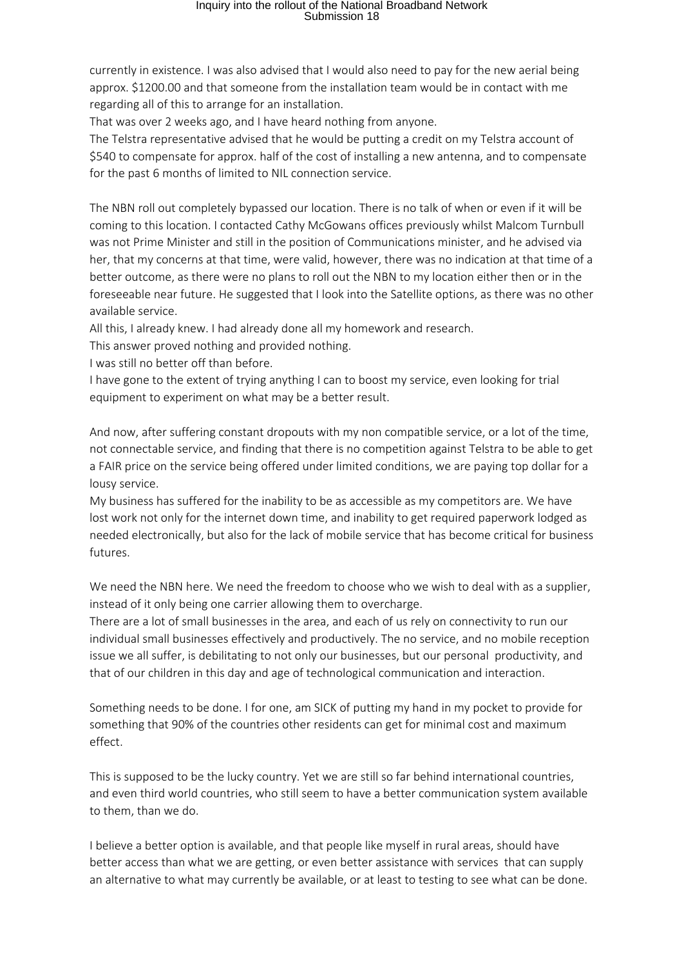## Inquiry into the rollout of the National Broadband Network Submission 18

currently in existence. I was also advised that I would also need to pay for the new aerial being approx. \$1200.00 and that someone from the installation team would be in contact with me regarding all of this to arrange for an installation.

That was over 2 weeks ago, and I have heard nothing from anyone.

The Telstra representative advised that he would be putting a credit on my Telstra account of \$540 to compensate for approx. half of the cost of installing a new antenna, and to compensate for the past 6 months of limited to NIL connection service.

The NBN roll out completely bypassed our location. There is no talk of when or even if it will be coming to this location. I contacted Cathy McGowans offices previously whilst Malcom Turnbull was not Prime Minister and still in the position of Communications minister, and he advised via her, that my concerns at that time, were valid, however, there was no indication at that time of a better outcome, as there were no plans to roll out the NBN to my location either then or in the foreseeable near future. He suggested that I look into the Satellite options, as there was no other available service.

All this, I already knew. I had already done all my homework and research.

This answer proved nothing and provided nothing.

I was still no better off than before.

I have gone to the extent of trying anything I can to boost my service, even looking for trial equipment to experiment on what may be a better result.

And now, after suffering constant dropouts with my non compatible service, or a lot of the time, not connectable service, and finding that there is no competition against Telstra to be able to get a FAIR price on the service being offered under limited conditions, we are paying top dollar for a lousy service.

My business has suffered for the inability to be as accessible as my competitors are. We have lost work not only for the internet down time, and inability to get required paperwork lodged as needed electronically, but also for the lack of mobile service that has become critical for business futures.

We need the NBN here. We need the freedom to choose who we wish to deal with as a supplier, instead of it only being one carrier allowing them to overcharge.

There are a lot of small businesses in the area, and each of us rely on connectivity to run our individual small businesses effectively and productively. The no service, and no mobile reception issue we all suffer, is debilitating to not only our businesses, but our personal productivity, and that of our children in this day and age of technological communication and interaction.

Something needs to be done. I for one, am SICK of putting my hand in my pocket to provide for something that 90% of the countries other residents can get for minimal cost and maximum effect.

This is supposed to be the lucky country. Yet we are still so far behind international countries, and even third world countries, who still seem to have a better communication system available to them, than we do.

I believe a better option is available, and that people like myself in rural areas, should have better access than what we are getting, or even better assistance with services that can supply an alternative to what may currently be available, or at least to testing to see what can be done.